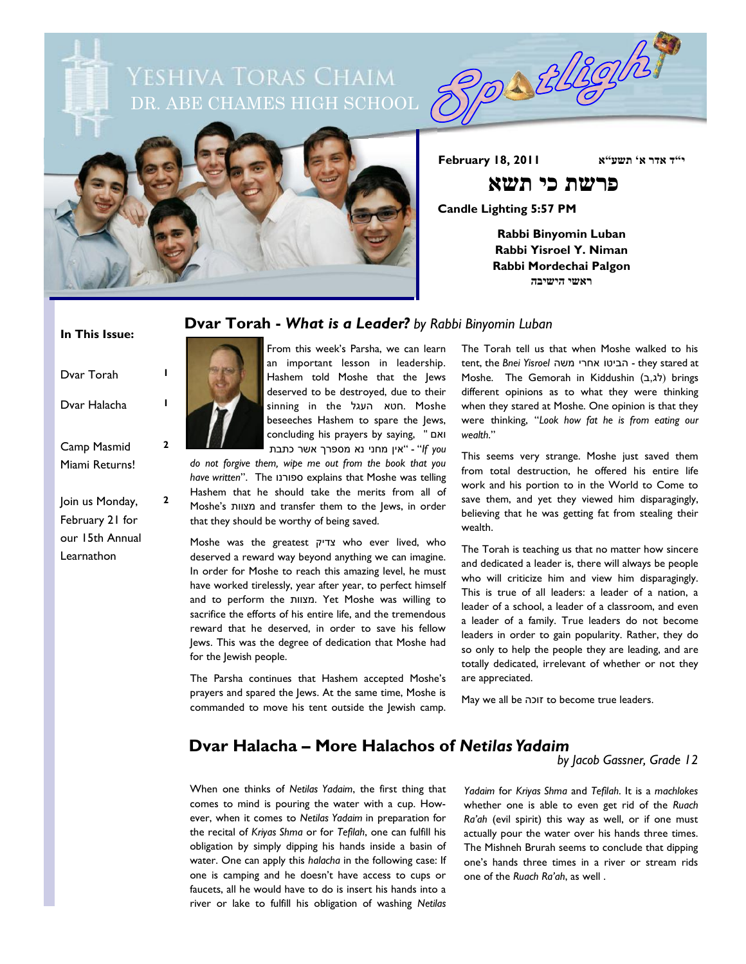YESHIVA TORAS CHAIM DR. ABE CHAMES HIGH SCHOOL



**י"ד אדר א' תשע"א 2011 18, February**

 **פרשת כי תשא**

Possblegh

**Candle Lighting 5:57 PM**

**Rabbi Binyomin Luban Rabbi Yisroel Y. Niman Rabbi Mordechai Palgon ראשי הישיבה**

#### **In This Issue:**

| Dvar Torah                         |   |
|------------------------------------|---|
| Dvar Halacha                       |   |
| Camp Masmid<br>Miami Returns!      | 2 |
| Join us Monday,<br>February 21 for | 2 |

our 15th Annual Learnathon



From this week's Parsha, we can learn an important lesson in leadership. Hashem told Moshe that the Jews deserved to be destroyed, due to their sinning in the העגל חטא. Moshe beseeches Hashem to spare the Jews, concluding his prayers by saying, " ואם  *you If* "-" אין מחני נא מספרך אשר כתבת

**Dvar Torah -** *What is a Leader? by Rabbi Binyomin Luban*

*do not forgive them, wipe me out from the book that you have written*". The ספורנו explains that Moshe was telling Hashem that he should take the merits from all of Moshe's מצוות and transfer them to the Jews, in order that they should be worthy of being saved.

Moshe was the greatest צדיק who ever lived, who deserved a reward way beyond anything we can imagine. In order for Moshe to reach this amazing level, he must have worked tirelessly, year after year, to perfect himself and to perform the מצוות. Yet Moshe was willing to sacrifice the efforts of his entire life, and the tremendous reward that he deserved, in order to save his fellow Jews. This was the degree of dedication that Moshe had for the Jewish people.

The Parsha continues that Hashem accepted Moshe's prayers and spared the Jews. At the same time, Moshe is commanded to move his tent outside the Jewish camp.

The Torah tell us that when Moshe walked to his tent, the *Bnei Yisroel* משה אחרי הביטו - they stared at Moshe. The Gemorah in Kiddushin (לג,ב) brings different opinions as to what they were thinking when they stared at Moshe. One opinion is that they were thinking, "*Look how fat he is from eating our wealth*."

This seems very strange. Moshe just saved them from total destruction, he offered his entire life work and his portion to in the World to Come to save them, and yet they viewed him disparagingly, believing that he was getting fat from stealing their wealth.

The Torah is teaching us that no matter how sincere and dedicated a leader is, there will always be people who will criticize him and view him disparagingly. This is true of all leaders: a leader of a nation, a leader of a school, a leader of a classroom, and even a leader of a family. True leaders do not become leaders in order to gain popularity. Rather, they do so only to help the people they are leading, and are totally dedicated, irrelevant of whether or not they are appreciated.

May we all be זוכה to become true leaders.

## **Dvar Halacha – More Halachos of** *Netilas Yadaim*

When one thinks of *Netilas Yadaim*, the first thing that comes to mind is pouring the water with a cup. However, when it comes to *Netilas Yadaim* in preparation for the recital of *Kriyas Shma* or for *Tefilah*, one can fulfill his obligation by simply dipping his hands inside a basin of water. One can apply this *halacha* in the following case: If one is camping and he doesn't have access to cups or faucets, all he would have to do is insert his hands into a river or lake to fulfill his obligation of washing *Netilas*  *by Jacob Gassner, Grade 12*

*Yadaim* for *Kriyas Shma* and *Tefilah*. It is a *machlokes* whether one is able to even get rid of the *Ruach Ra'ah* (evil spirit) this way as well, or if one must actually pour the water over his hands three times. The Mishneh Brurah seems to conclude that dipping one's hands three times in a river or stream rids one of the *Ruach Ra'ah*, as well .